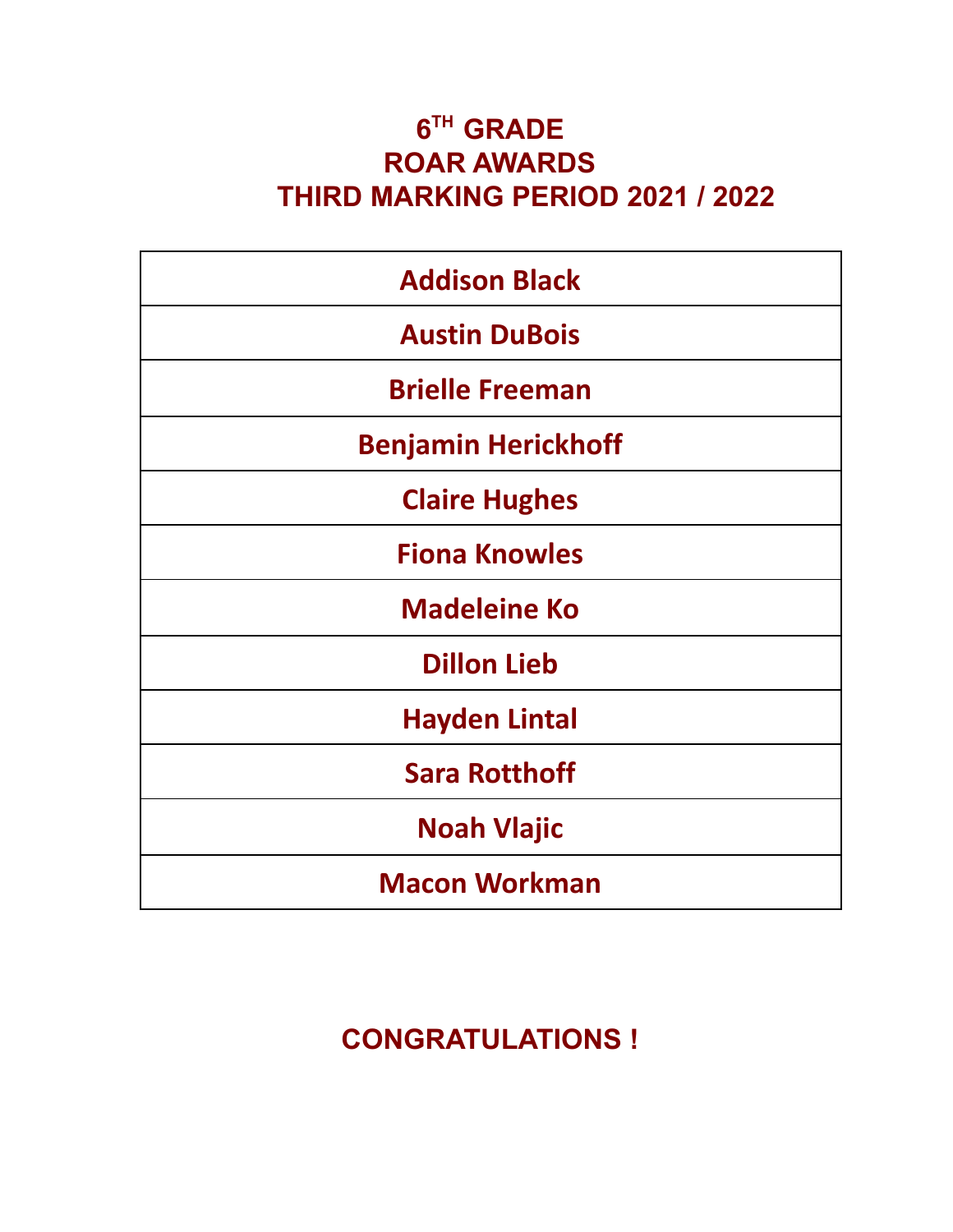#### **6 TH GRADE ROAR AWARDS THIRD MARKING PERIOD 2021 / 2022**

| <b>Addison Black</b>       |
|----------------------------|
| <b>Austin DuBois</b>       |
| <b>Brielle Freeman</b>     |
| <b>Benjamin Herickhoff</b> |
| <b>Claire Hughes</b>       |
| <b>Fiona Knowles</b>       |
| <b>Madeleine Ko</b>        |
| <b>Dillon Lieb</b>         |
| <b>Hayden Lintal</b>       |
| <b>Sara Rotthoff</b>       |
| <b>Noah Vlajic</b>         |
| <b>Macon Workman</b>       |

## **CONGRATULATIONS !**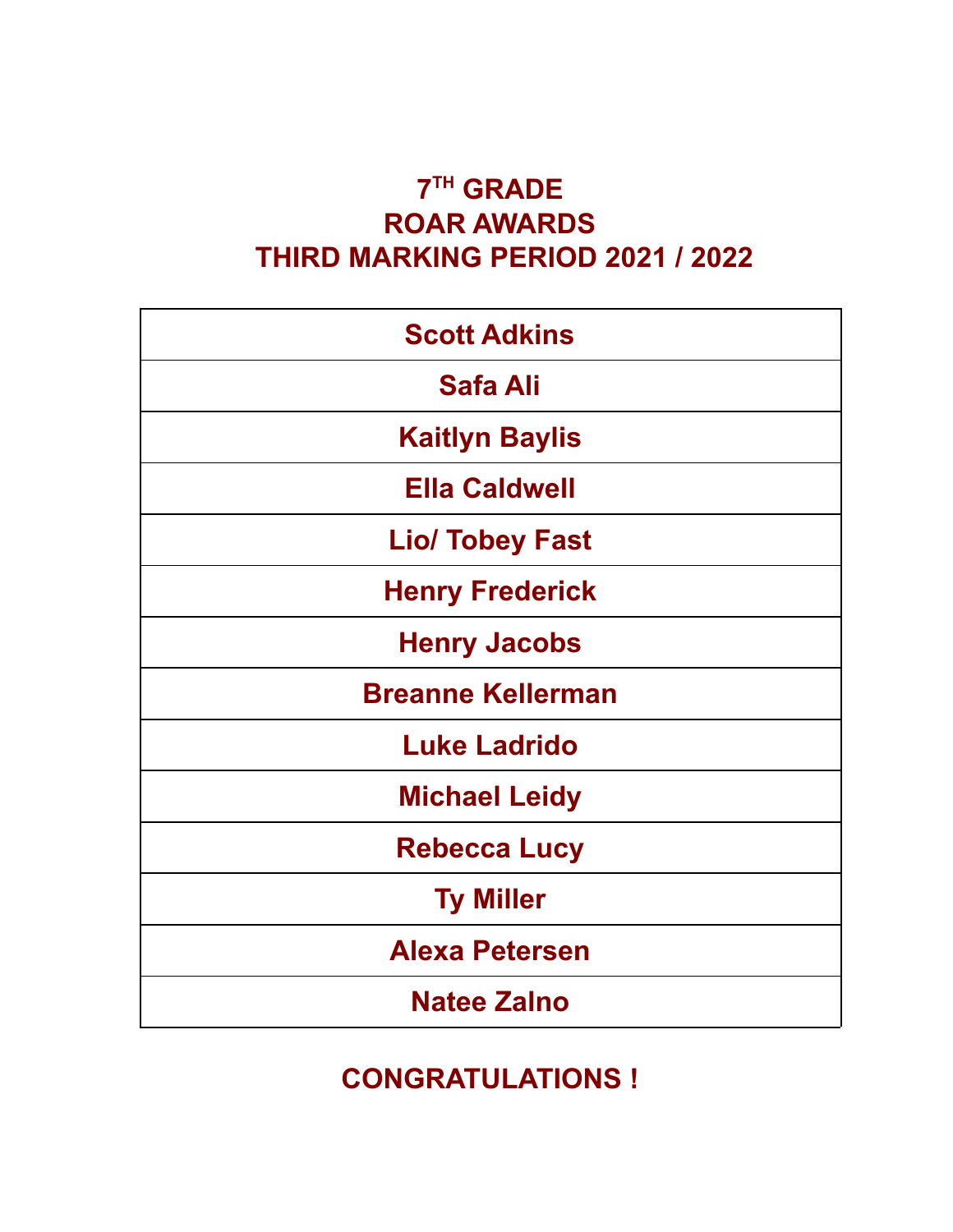#### **7 TH GRADE ROAR AWARDS THIRD MARKING PERIOD 2021 / 2022**

| <b>Scott Adkins</b>      |
|--------------------------|
| <b>Safa Ali</b>          |
| <b>Kaitlyn Baylis</b>    |
| <b>Ella Caldwell</b>     |
| <b>Lio/ Tobey Fast</b>   |
| <b>Henry Frederick</b>   |
| <b>Henry Jacobs</b>      |
| <b>Breanne Kellerman</b> |
| <b>Luke Ladrido</b>      |
| <b>Michael Leidy</b>     |
| <b>Rebecca Lucy</b>      |
| <b>Ty Miller</b>         |
| <b>Alexa Petersen</b>    |
| <b>Natee Zalno</b>       |

### **CONGRATULATIONS !**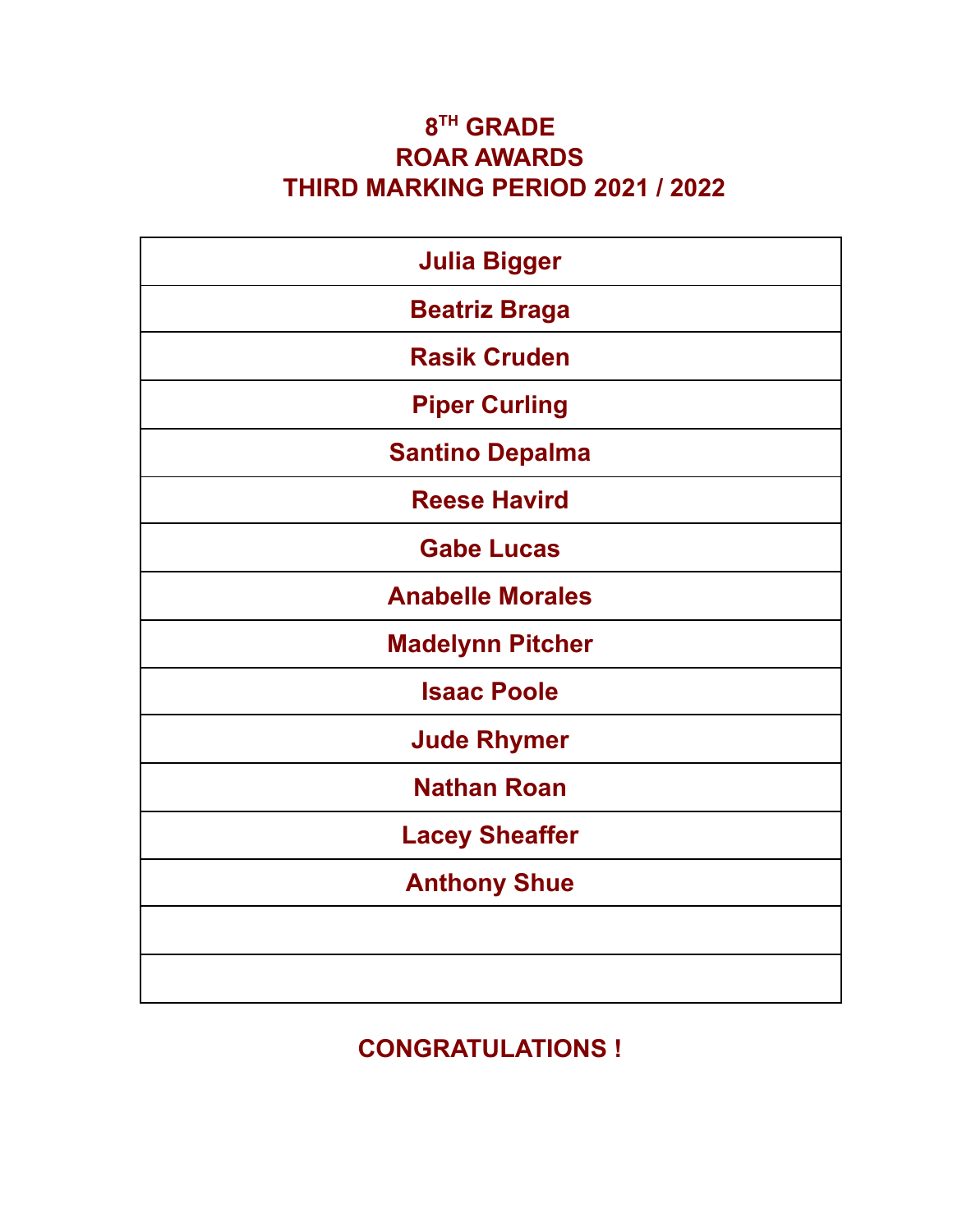#### **8 TH GRADE ROAR AWARDS THIRD MARKING PERIOD 2021 / 2022**

| <b>Julia Bigger</b>     |
|-------------------------|
| <b>Beatriz Braga</b>    |
| <b>Rasik Cruden</b>     |
| <b>Piper Curling</b>    |
| <b>Santino Depalma</b>  |
| <b>Reese Havird</b>     |
| <b>Gabe Lucas</b>       |
| <b>Anabelle Morales</b> |
| <b>Madelynn Pitcher</b> |
| <b>Isaac Poole</b>      |
| <b>Jude Rhymer</b>      |
| <b>Nathan Roan</b>      |
| <b>Lacey Sheaffer</b>   |
| <b>Anthony Shue</b>     |
|                         |
|                         |

**CONGRATULATIONS !**